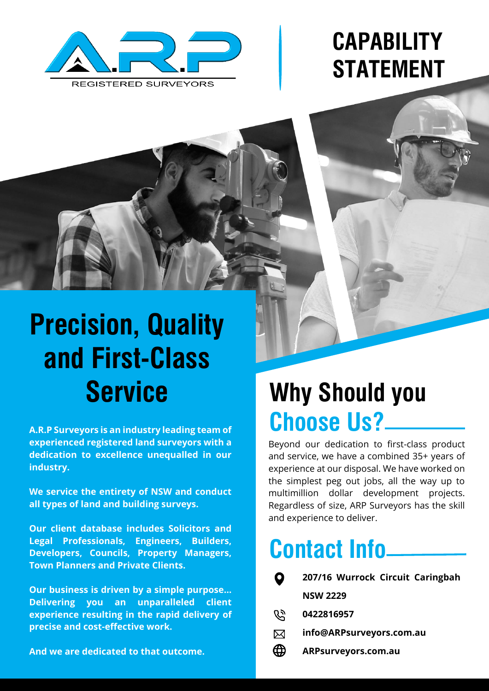

# **CAPABILITY STATEMENT**

# **Precision, Quality and First-Class Service**

**A.R.P Surveyors is an industry leading team of experienced registered land surveyors with a dedication to excellence unequalled in our industry.**

**We service the entirety of NSW and conduct all types of land and building surveys.**

**Our client database includes Solicitors and Legal Professionals, Engineers, Builders, Developers, Councils, Property Managers, Town Planners and Private Clients.**

**Our business is driven by a simple purpose… Delivering you an unparalleled client experience resulting in the rapid delivery of precise and cost-effective work.**

**And we are dedicated to that outcome.**

## **Why Should you Choose Us?**

Beyond our dedication to first-class product and service, we have a combined 35+ years of experience at our disposal. We have worked on the simplest peg out jobs, all the way up to multimillion dollar development projects. Regardless of size, ARP Surveyors has the skill and experience to deliver.

## **Contact Info**

| $\mathbf Q$ | 207/16 Wurrock Circuit Caringbah |
|-------------|----------------------------------|
|             | <b>NSW 2229</b>                  |
|             | ্ট্র 0422816957                  |
|             |                                  |

- **info@ARPsurveyors.com.au** X
- ⊕ **ARPsurveyors.com.au**